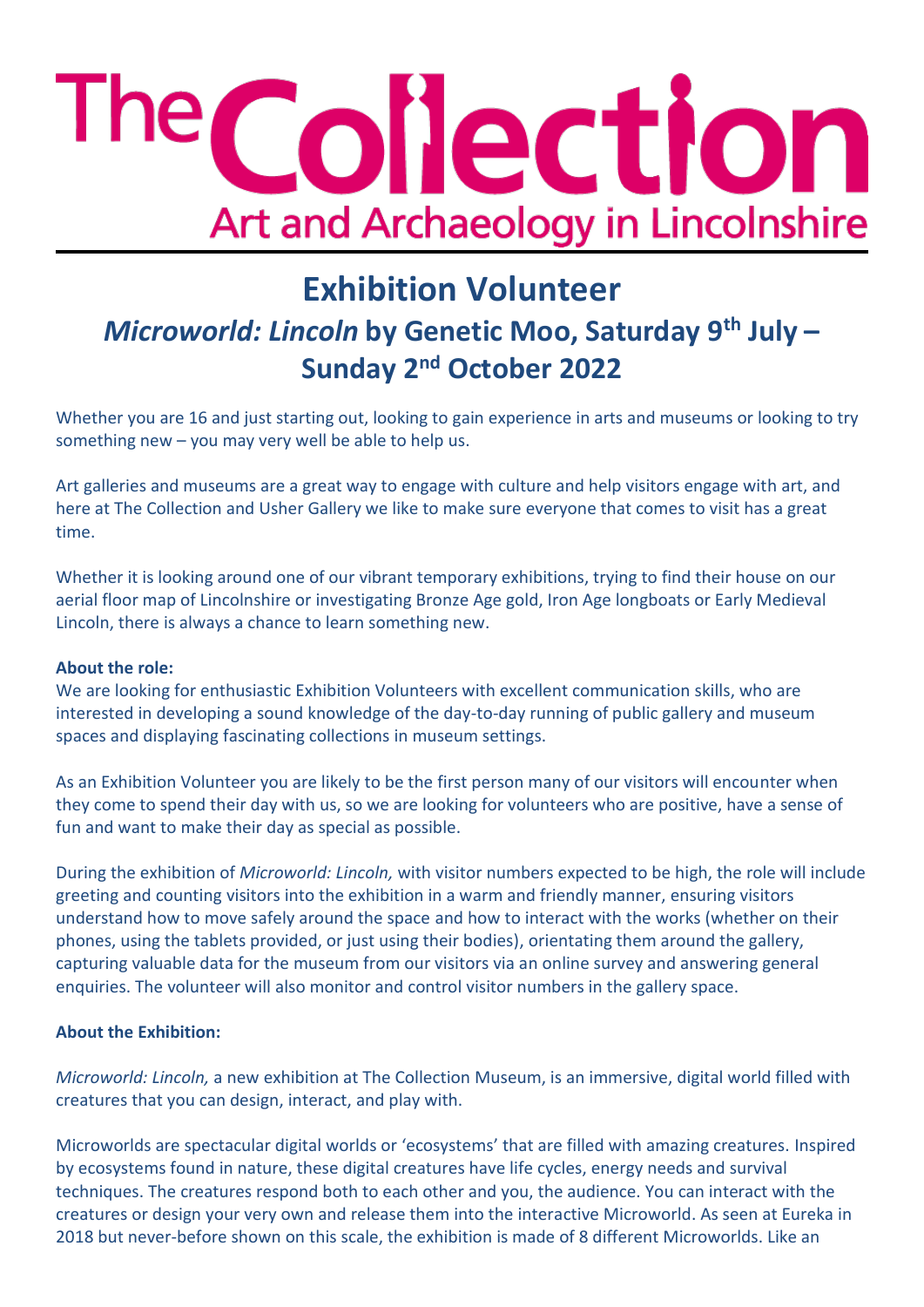# The Collection Art and Archaeology in Lincolnshire

# **Exhibition Volunteer**  *Microworld: Lincoln* **by Genetic Moo, Saturday 9th July – Sunday 2nd October 2022**

Whether you are 16 and just starting out, looking to gain experience in arts and museums or looking to try something new – you may very well be able to help us.

Art galleries and museums are a great way to engage with culture and help visitors engage with art, and here at The Collection and Usher Gallery we like to make sure everyone that comes to visit has a great time.

Whether it is looking around one of our vibrant temporary exhibitions, trying to find their house on our aerial floor map of Lincolnshire or investigating Bronze Age gold, Iron Age longboats or Early Medieval Lincoln, there is always a chance to learn something new.

## **About the role:**

We are looking for enthusiastic Exhibition Volunteers with excellent communication skills, who are interested in developing a sound knowledge of the day-to-day running of public gallery and museum spaces and displaying fascinating collections in museum settings.

As an Exhibition Volunteer you are likely to be the first person many of our visitors will encounter when they come to spend their day with us, so we are looking for volunteers who are positive, have a sense of fun and want to make their day as special as possible.

During the exhibition of *Microworld: Lincoln,* with visitor numbers expected to be high, the role will include greeting and counting visitors into the exhibition in a warm and friendly manner, ensuring visitors understand how to move safely around the space and how to interact with the works (whether on their phones, using the tablets provided, or just using their bodies), orientating them around the gallery, capturing valuable data for the museum from our visitors via an online survey and answering general enquiries. The volunteer will also monitor and control visitor numbers in the gallery space.

## **About the Exhibition:**

*Microworld: Lincoln,* a new exhibition at The Collection Museum, is an immersive, digital world filled with creatures that you can design, interact, and play with.

Microworlds are spectacular digital worlds or 'ecosystems' that are filled with amazing creatures. Inspired by ecosystems found in nature, these digital creatures have life cycles, energy needs and survival techniques. The creatures respond both to each other and you, the audience. You can interact with the creatures or design your very own and release them into the interactive Microworld. As seen at Eureka in 2018 but never-before shown on this scale, the exhibition is made of 8 different Microworlds. Like an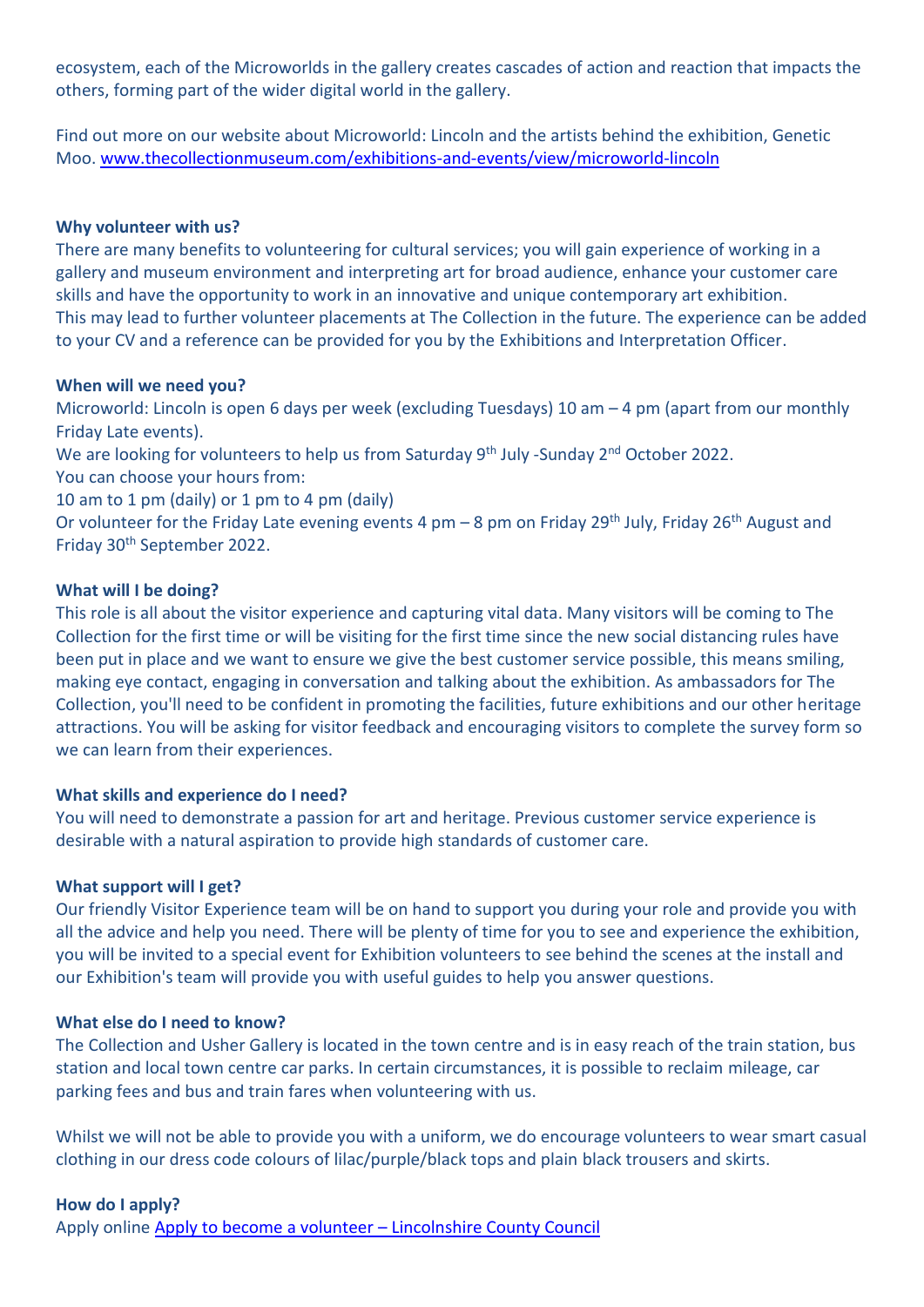ecosystem, each of the Microworlds in the gallery creates cascades of action and reaction that impacts the others, forming part of the wider digital world in the gallery.

Find out more on our website about Microworld: Lincoln and the artists behind the exhibition, Genetic Moo[. www.thecollectionmuseum.com/exhibitions-and-events/view/microworld-lincoln](http://www.thecollectionmuseum.com/exhibitions-and-events/view/microworld-lincoln)

#### **Why volunteer with us?**

There are many benefits to volunteering for cultural services; you will gain experience of working in a gallery and museum environment and interpreting art for broad audience, enhance your customer care skills and have the opportunity to work in an innovative and unique contemporary art exhibition. This may lead to further volunteer placements at The Collection in the future. The experience can be added to your CV and a reference can be provided for you by the Exhibitions and Interpretation Officer.

#### **When will we need you?**

Microworld: Lincoln is open 6 days per week (excluding Tuesdays) 10 am – 4 pm (apart from our monthly Friday Late events).

We are looking for volunteers to help us from Saturday 9<sup>th</sup> July -Sunday 2<sup>nd</sup> October 2022.

You can choose your hours from:

10 am to 1 pm (daily) or 1 pm to 4 pm (daily)

Or volunteer for the Friday Late evening events 4 pm – 8 pm on Friday 29<sup>th</sup> July, Friday 26<sup>th</sup> August and Friday 30th September 2022.

#### **What will I be doing?**

This role is all about the visitor experience and capturing vital data. Many visitors will be coming to The Collection for the first time or will be visiting for the first time since the new social distancing rules have been put in place and we want to ensure we give the best customer service possible, this means smiling, making eye contact, engaging in conversation and talking about the exhibition. As ambassadors for The Collection, you'll need to be confident in promoting the facilities, future exhibitions and our other heritage attractions. You will be asking for visitor feedback and encouraging visitors to complete the survey form so we can learn from their experiences.

#### **What skills and experience do I need?**

You will need to demonstrate a passion for art and heritage. Previous customer service experience is desirable with a natural aspiration to provide high standards of customer care.

#### **What support will I get?**

Our friendly Visitor Experience team will be on hand to support you during your role and provide you with all the advice and help you need. There will be plenty of time for you to see and experience the exhibition, you will be invited to a special event for Exhibition volunteers to see behind the scenes at the install and our Exhibition's team will provide you with useful guides to help you answer questions.

#### **What else do I need to know?**

The Collection and Usher Gallery is located in the town centre and is in easy reach of the train station, bus station and local town centre car parks. In certain circumstances, it is possible to reclaim mileage, car parking fees and bus and train fares when volunteering with us.

Whilst we will not be able to provide you with a uniform, we do encourage volunteers to wear smart casual clothing in our dress code colours of lilac/purple/black tops and plain black trousers and skirts.

#### **How do I apply?**

Apply online [Apply to become a volunteer](https://www.lincolnshire.gov.uk/jobs-careers/apply-become-volunteer) – Lincolnshire County Council